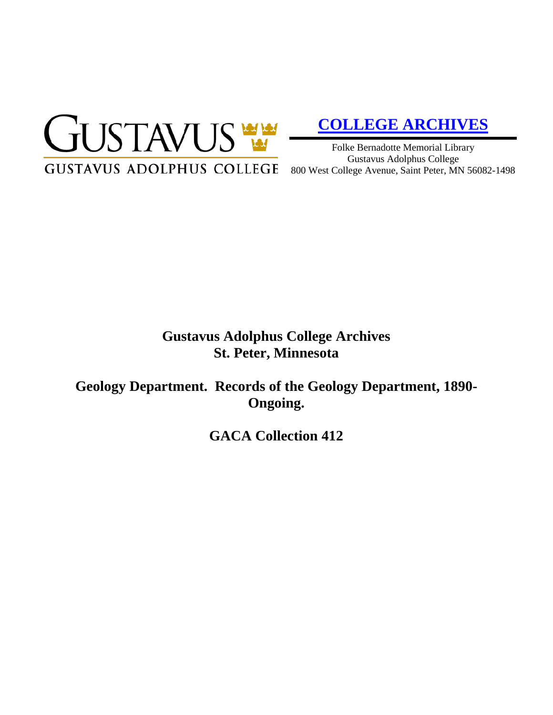

# **[COLLEGE ARCHIVES](http://gustavus.edu/academics/library/archives/)**

Folke Bernadotte Memorial Library Gustavus Adolphus College 800 West College Avenue, Saint Peter, MN 56082-1498

# **Gustavus Adolphus College Archives St. Peter, Minnesota**

**Geology Department. Records of the Geology Department, 1890- Ongoing.**

**GACA Collection 412**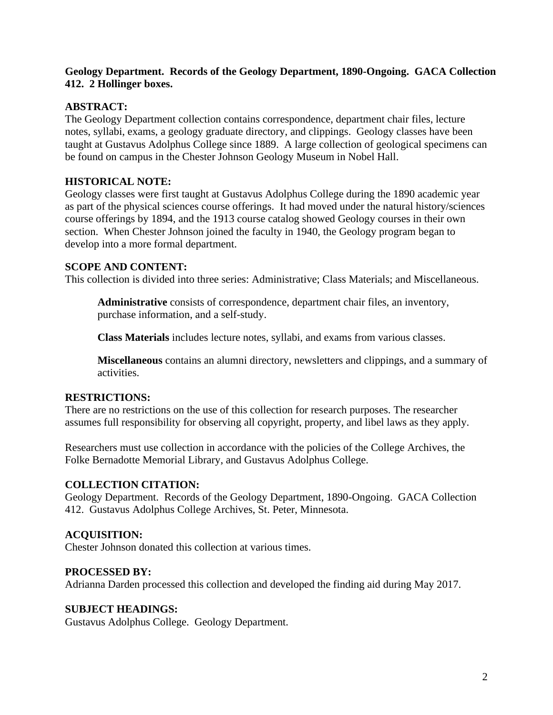# **Geology Department. Records of the Geology Department, 1890-Ongoing. GACA Collection 412. 2 Hollinger boxes.**

# **ABSTRACT:**

The Geology Department collection contains correspondence, department chair files, lecture notes, syllabi, exams, a geology graduate directory, and clippings. Geology classes have been taught at Gustavus Adolphus College since 1889. A large collection of geological specimens can be found on campus in the Chester Johnson Geology Museum in Nobel Hall.

# **HISTORICAL NOTE:**

Geology classes were first taught at Gustavus Adolphus College during the 1890 academic year as part of the physical sciences course offerings. It had moved under the natural history/sciences course offerings by 1894, and the 1913 course catalog showed Geology courses in their own section. When Chester Johnson joined the faculty in 1940, the Geology program began to develop into a more formal department.

#### **SCOPE AND CONTENT:**

This collection is divided into three series: Administrative; Class Materials; and Miscellaneous.

**Administrative** consists of correspondence, department chair files, an inventory, purchase information, and a self-study.

**Class Materials** includes lecture notes, syllabi, and exams from various classes.

**Miscellaneous** contains an alumni directory, newsletters and clippings, and a summary of activities.

#### **RESTRICTIONS:**

There are no restrictions on the use of this collection for research purposes. The researcher assumes full responsibility for observing all copyright, property, and libel laws as they apply.

Researchers must use collection in accordance with the policies of the College Archives, the Folke Bernadotte Memorial Library, and Gustavus Adolphus College.

#### **COLLECTION CITATION:**

Geology Department. Records of the Geology Department, 1890-Ongoing. GACA Collection 412. Gustavus Adolphus College Archives, St. Peter, Minnesota.

#### **ACQUISITION:**

Chester Johnson donated this collection at various times.

#### **PROCESSED BY:**

Adrianna Darden processed this collection and developed the finding aid during May 2017.

#### **SUBJECT HEADINGS:**

Gustavus Adolphus College. Geology Department.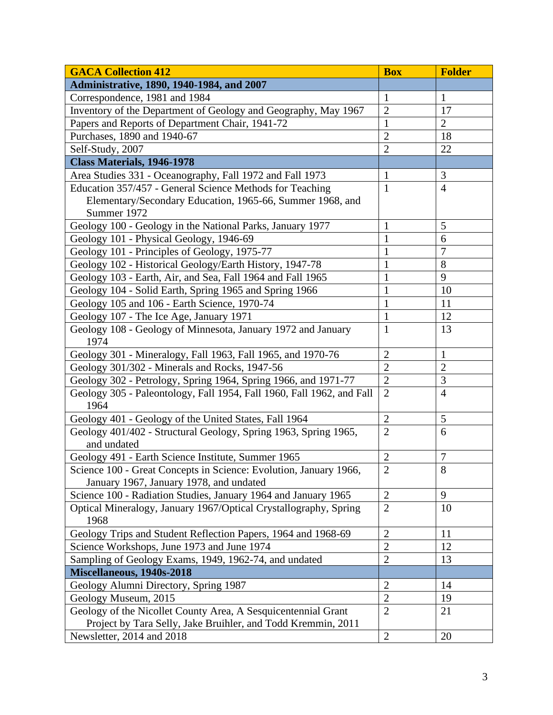| <b>GACA Collection 412</b>                                                                                                    | <b>Box</b>     | <b>Folder</b>                  |
|-------------------------------------------------------------------------------------------------------------------------------|----------------|--------------------------------|
| Administrative, 1890, 1940-1984, and 2007                                                                                     |                |                                |
| Correspondence, 1981 and 1984                                                                                                 | $\mathbf{1}$   | 1                              |
| Inventory of the Department of Geology and Geography, May 1967                                                                | $\overline{2}$ | 17                             |
| Papers and Reports of Department Chair, 1941-72                                                                               | $\mathbf{1}$   | $\overline{2}$                 |
| Purchases, 1890 and 1940-67                                                                                                   | $\overline{2}$ | 18                             |
| Self-Study, 2007                                                                                                              | $\overline{2}$ | 22                             |
| <b>Class Materials, 1946-1978</b>                                                                                             |                |                                |
| Area Studies 331 - Oceanography, Fall 1972 and Fall 1973                                                                      | 1              | 3                              |
| Education 357/457 - General Science Methods for Teaching                                                                      | $\mathbf{1}$   | $\overline{4}$                 |
| Elementary/Secondary Education, 1965-66, Summer 1968, and                                                                     |                |                                |
| Summer 1972                                                                                                                   |                |                                |
| Geology 100 - Geology in the National Parks, January 1977                                                                     | $\mathbf{1}$   | 5                              |
| Geology 101 - Physical Geology, 1946-69                                                                                       | $\mathbf{1}$   | 6                              |
| Geology 101 - Principles of Geology, 1975-77                                                                                  | $\mathbf{1}$   | $\overline{7}$                 |
| Geology 102 - Historical Geology/Earth History, 1947-78                                                                       | $\mathbf{1}$   | 8                              |
| Geology 103 - Earth, Air, and Sea, Fall 1964 and Fall 1965                                                                    | 1              | 9                              |
| Geology 104 - Solid Earth, Spring 1965 and Spring 1966                                                                        | $\mathbf{1}$   | 10                             |
| Geology 105 and 106 - Earth Science, 1970-74                                                                                  | $\mathbf{1}$   | 11                             |
| Geology 107 - The Ice Age, January 1971                                                                                       | $\mathbf{1}$   | 12                             |
| Geology 108 - Geology of Minnesota, January 1972 and January                                                                  | $\mathbf{1}$   | 13                             |
| 1974                                                                                                                          | $\overline{2}$ |                                |
| Geology 301 - Mineralogy, Fall 1963, Fall 1965, and 1970-76                                                                   | $\overline{2}$ | $\mathbf{1}$<br>$\overline{2}$ |
| Geology 301/302 - Minerals and Rocks, 1947-56                                                                                 |                |                                |
| Geology 302 - Petrology, Spring 1964, Spring 1966, and 1971-77                                                                | $\overline{2}$ | $\mathfrak{Z}$                 |
| Geology 305 - Paleontology, Fall 1954, Fall 1960, Fall 1962, and Fall<br>1964                                                 | $\overline{2}$ | $\overline{4}$                 |
| Geology 401 - Geology of the United States, Fall 1964                                                                         | $\overline{2}$ | 5                              |
| Geology 401/402 - Structural Geology, Spring 1963, Spring 1965,<br>and undated                                                | $\overline{2}$ | 6                              |
| Geology 491 - Earth Science Institute, Summer 1965                                                                            | $\sqrt{2}$     | $\tau$                         |
| Science 100 - Great Concepts in Science: Evolution, January 1966,                                                             | $\overline{2}$ | 8                              |
| January 1967, January 1978, and undated                                                                                       |                |                                |
| Science 100 - Radiation Studies, January 1964 and January 1965                                                                | $\overline{2}$ | 9                              |
| Optical Mineralogy, January 1967/Optical Crystallography, Spring                                                              | $\overline{2}$ | 10                             |
| 1968                                                                                                                          |                |                                |
| Geology Trips and Student Reflection Papers, 1964 and 1968-69                                                                 | $\overline{2}$ | 11                             |
| Science Workshops, June 1973 and June 1974                                                                                    | $\overline{2}$ | 12                             |
| Sampling of Geology Exams, 1949, 1962-74, and undated                                                                         | $\overline{2}$ | 13                             |
| Miscellaneous, 1940s-2018                                                                                                     |                |                                |
| Geology Alumni Directory, Spring 1987                                                                                         | $\overline{2}$ | 14                             |
| Geology Museum, 2015                                                                                                          | $\overline{2}$ | 19                             |
| Geology of the Nicollet County Area, A Sesquicentennial Grant<br>Project by Tara Selly, Jake Bruihler, and Todd Kremmin, 2011 | $\overline{2}$ | 21                             |
| Newsletter, 2014 and 2018                                                                                                     | $\overline{2}$ | 20                             |
|                                                                                                                               |                |                                |